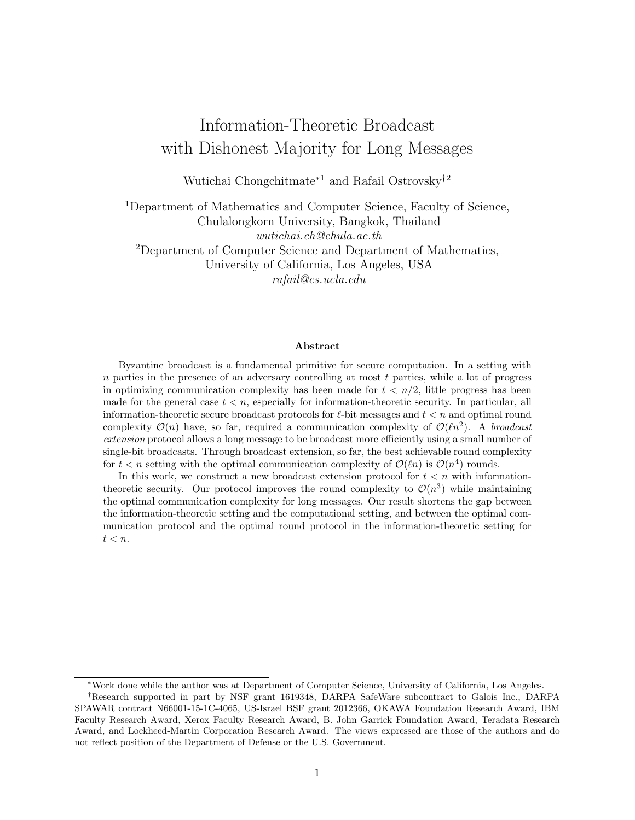# Information-Theoretic Broadcast with Dishonest Majority for Long Messages

Wutichai Chongchitmate<sup>∗</sup><sup>1</sup> and Rafail Ostrovsky†<sup>2</sup>

<sup>1</sup>Department of Mathematics and Computer Science, Faculty of Science, Chulalongkorn University, Bangkok, Thailand wutichai.ch@chula.ac.th <sup>2</sup>Department of Computer Science and Department of Mathematics, University of California, Los Angeles, USA rafail@cs.ucla.edu

#### Abstract

Byzantine broadcast is a fundamental primitive for secure computation. In a setting with  $n$  parties in the presence of an adversary controlling at most  $t$  parties, while a lot of progress in optimizing communication complexity has been made for  $t < n/2$ , little progress has been made for the general case  $t < n$ , especially for information-theoretic security. In particular, all information-theoretic secure broadcast protocols for  $\ell$ -bit messages and  $t < n$  and optimal round complexity  $\mathcal{O}(n)$  have, so far, required a communication complexity of  $\mathcal{O}(\ell n^2)$ . A broadcast extension protocol allows a long message to be broadcast more efficiently using a small number of single-bit broadcasts. Through broadcast extension, so far, the best achievable round complexity for  $t < n$  setting with the optimal communication complexity of  $\mathcal{O}(\ell n)$  is  $\mathcal{O}(n^4)$  rounds.

In this work, we construct a new broadcast extension protocol for  $t < n$  with informationtheoretic security. Our protocol improves the round complexity to  $\mathcal{O}(n^3)$  while maintaining the optimal communication complexity for long messages. Our result shortens the gap between the information-theoretic setting and the computational setting, and between the optimal communication protocol and the optimal round protocol in the information-theoretic setting for  $t < n$ .

<sup>∗</sup>Work done while the author was at Department of Computer Science, University of California, Los Angeles.

<sup>†</sup>Research supported in part by NSF grant 1619348, DARPA SafeWare subcontract to Galois Inc., DARPA SPAWAR contract N66001-15-1C-4065, US-Israel BSF grant 2012366, OKAWA Foundation Research Award, IBM Faculty Research Award, Xerox Faculty Research Award, B. John Garrick Foundation Award, Teradata Research Award, and Lockheed-Martin Corporation Research Award. The views expressed are those of the authors and do not reflect position of the Department of Defense or the U.S. Government.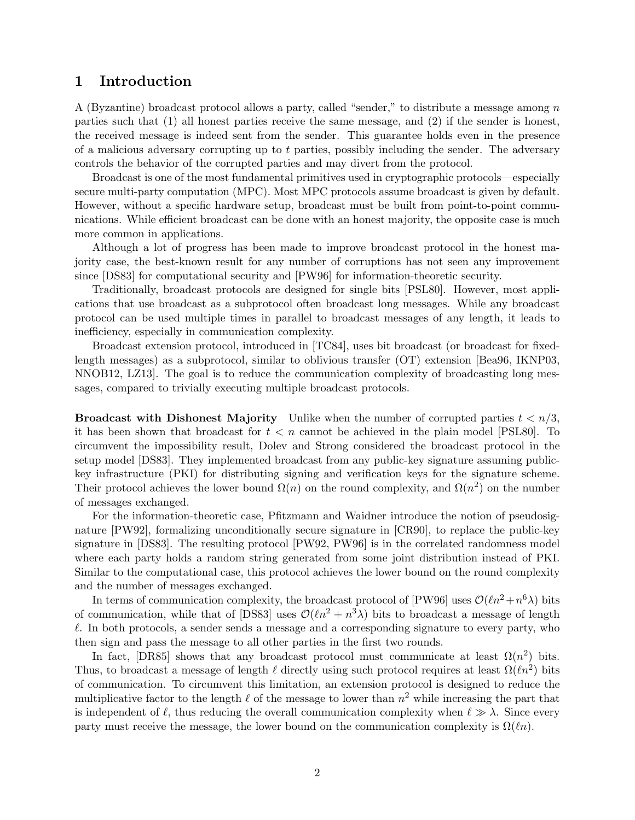## 1 Introduction

A (Byzantine) broadcast protocol allows a party, called "sender," to distribute a message among n parties such that (1) all honest parties receive the same message, and (2) if the sender is honest, the received message is indeed sent from the sender. This guarantee holds even in the presence of a malicious adversary corrupting up to t parties, possibly including the sender. The adversary controls the behavior of the corrupted parties and may divert from the protocol.

Broadcast is one of the most fundamental primitives used in cryptographic protocols—especially secure multi-party computation (MPC). Most MPC protocols assume broadcast is given by default. However, without a specific hardware setup, broadcast must be built from point-to-point communications. While efficient broadcast can be done with an honest majority, the opposite case is much more common in applications.

Although a lot of progress has been made to improve broadcast protocol in the honest majority case, the best-known result for any number of corruptions has not seen any improvement since [DS83] for computational security and [PW96] for information-theoretic security.

Traditionally, broadcast protocols are designed for single bits [PSL80]. However, most applications that use broadcast as a subprotocol often broadcast long messages. While any broadcast protocol can be used multiple times in parallel to broadcast messages of any length, it leads to inefficiency, especially in communication complexity.

Broadcast extension protocol, introduced in [TC84], uses bit broadcast (or broadcast for fixedlength messages) as a subprotocol, similar to oblivious transfer (OT) extension [Bea96, IKNP03, NNOB12, LZ13]. The goal is to reduce the communication complexity of broadcasting long messages, compared to trivially executing multiple broadcast protocols.

**Broadcast with Dishonest Majority** Unlike when the number of corrupted parties  $t < n/3$ , it has been shown that broadcast for  $t < n$  cannot be achieved in the plain model [PSL80]. To circumvent the impossibility result, Dolev and Strong considered the broadcast protocol in the setup model [DS83]. They implemented broadcast from any public-key signature assuming publickey infrastructure (PKI) for distributing signing and verification keys for the signature scheme. Their protocol achieves the lower bound  $\Omega(n)$  on the round complexity, and  $\Omega(n^2)$  on the number of messages exchanged.

For the information-theoretic case, Pfitzmann and Waidner introduce the notion of pseudosignature [PW92], formalizing unconditionally secure signature in [CR90], to replace the public-key signature in [DS83]. The resulting protocol [PW92, PW96] is in the correlated randomness model where each party holds a random string generated from some joint distribution instead of PKI. Similar to the computational case, this protocol achieves the lower bound on the round complexity and the number of messages exchanged.

In terms of communication complexity, the broadcast protocol of [PW96] uses  $\mathcal{O}(\ln^2+n^6\lambda)$  bits of communication, while that of [DS83] uses  $\mathcal{O}(\ln^2 + n^3\lambda)$  bits to broadcast a message of length  $\ell$ . In both protocols, a sender sends a message and a corresponding signature to every party, who then sign and pass the message to all other parties in the first two rounds.

In fact, [DR85] shows that any broadcast protocol must communicate at least  $\Omega(n^2)$  bits. Thus, to broadcast a message of length  $\ell$  directly using such protocol requires at least  $\Omega(\ell n^2)$  bits of communication. To circumvent this limitation, an extension protocol is designed to reduce the multiplicative factor to the length  $\ell$  of the message to lower than  $n^2$  while increasing the part that is independent of  $\ell$ , thus reducing the overall communication complexity when  $\ell \gg \lambda$ . Since every party must receive the message, the lower bound on the communication complexity is  $\Omega(\ell n)$ .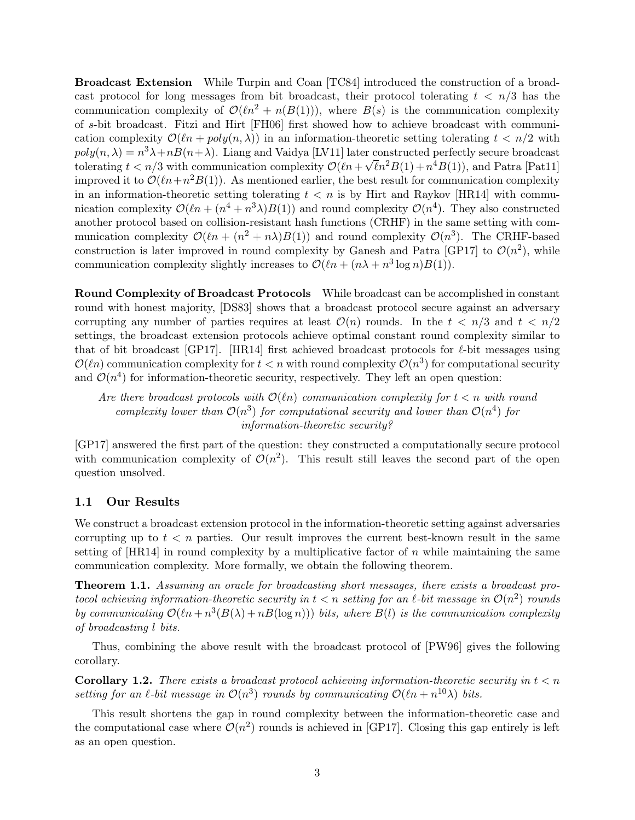Broadcast Extension While Turpin and Coan [TC84] introduced the construction of a broadcast protocol for long messages from bit broadcast, their protocol tolerating  $t < n/3$  has the communication complexity of  $\mathcal{O}(\ell n^2 + n(B(1)))$ , where  $B(s)$  is the communication complexity of s-bit broadcast. Fitzi and Hirt [FH06] first showed how to achieve broadcast with communication complexity  $\mathcal{O}(\ell n + \text{poly}(n, \lambda))$  in an information-theoretic setting tolerating  $t < n/2$  with  $poly(n, \lambda) = n^3 \lambda + nB(n + \lambda)$ . Liang and Vaidya [LV11] later constructed perfectly secure broadcast tolerating  $t < n/3$  with communication complexity  $\mathcal{O}(\ln + \sqrt{\ell}n^2B(1) + n^4B(1))$ , and Patra [Pat11] improved it to  $\mathcal{O}(\ln+n^2B(1))$ . As mentioned earlier, the best result for communication complexity in an information-theoretic setting tolerating  $t < n$  is by Hirt and Raykov [HR14] with communication complexity  $\mathcal{O}(\ell n + (n^4 + n^3\lambda)B(1))$  and round complexity  $\mathcal{O}(n^4)$ . They also constructed another protocol based on collision-resistant hash functions (CRHF) in the same setting with communication complexity  $\mathcal{O}(\ln + (n^2 + n\lambda)B(1))$  and round complexity  $\mathcal{O}(n^3)$ . The CRHF-based construction is later improved in round complexity by Ganesh and Patra [GP17] to  $\mathcal{O}(n^2)$ , while communication complexity slightly increases to  $\mathcal{O}(\ln + (n\lambda + n^3 \log n)B(1)).$ 

Round Complexity of Broadcast Protocols While broadcast can be accomplished in constant round with honest majority, [DS83] shows that a broadcast protocol secure against an adversary corrupting any number of parties requires at least  $\mathcal{O}(n)$  rounds. In the  $t < n/3$  and  $t < n/2$ settings, the broadcast extension protocols achieve optimal constant round complexity similar to that of bit broadcast [GP17]. [HR14] first achieved broadcast protocols for  $\ell$ -bit messages using  $\mathcal{O}(\ell n)$  communication complexity for  $t < n$  with round complexity  $\mathcal{O}(n^3)$  for computational security and  $\mathcal{O}(n^4)$  for information-theoretic security, respectively. They left an open question:

Are there broadcast protocols with  $\mathcal{O}(\ell n)$  communication complexity for  $t < n$  with round complexity lower than  $\mathcal{O}(n^3)$  for computational security and lower than  $\mathcal{O}(n^4)$  for information-theoretic security?

[GP17] answered the first part of the question: they constructed a computationally secure protocol with communication complexity of  $\mathcal{O}(n^2)$ . This result still leaves the second part of the open question unsolved.

#### 1.1 Our Results

We construct a broadcast extension protocol in the information-theoretic setting against adversaries corrupting up to  $t < n$  parties. Our result improves the current best-known result in the same setting of  $[HR14]$  in round complexity by a multiplicative factor of n while maintaining the same communication complexity. More formally, we obtain the following theorem.

Theorem 1.1. Assuming an oracle for broadcasting short messages, there exists a broadcast protocol achieving information-theoretic security in  $t < n$  setting for an  $\ell$ -bit message in  $\mathcal{O}(n^2)$  rounds by communicating  $\mathcal{O}(\ell n + n^3(B(\lambda) + nB(\log n)))$  bits, where  $B(l)$  is the communication complexity of broadcasting l bits.

Thus, combining the above result with the broadcast protocol of [PW96] gives the following corollary.

**Corollary 1.2.** There exists a broadcast protocol achieving information-theoretic security in  $t < n$ setting for an  $\ell$ -bit message in  $\mathcal{O}(n^3)$  rounds by communicating  $\mathcal{O}(\ell n + n^{10}\lambda)$  bits.

This result shortens the gap in round complexity between the information-theoretic case and the computational case where  $\mathcal{O}(n^2)$  rounds is achieved in [GP17]. Closing this gap entirely is left as an open question.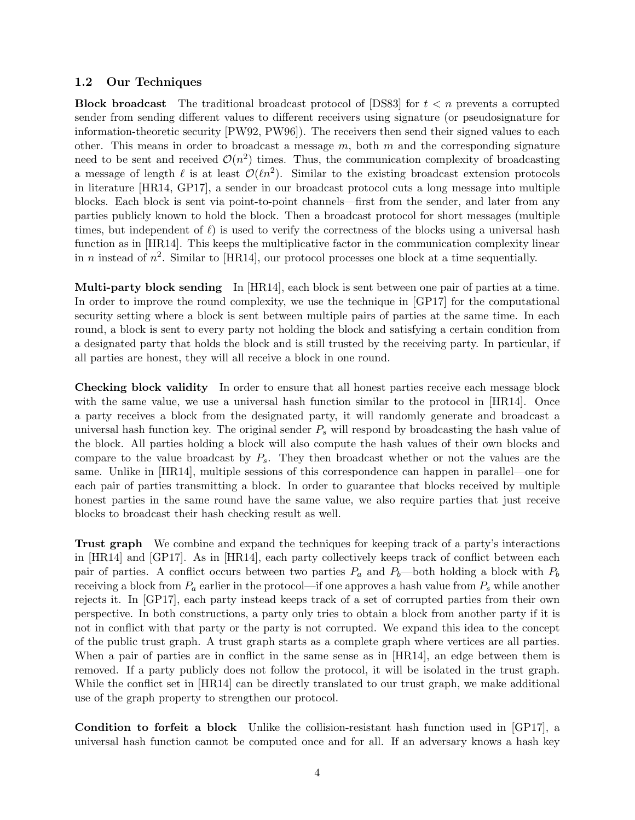#### 1.2 Our Techniques

**Block broadcast** The traditional broadcast protocol of [DS83] for  $t < n$  prevents a corrupted sender from sending different values to different receivers using signature (or pseudosignature for information-theoretic security [PW92, PW96]). The receivers then send their signed values to each other. This means in order to broadcast a message  $m$ , both  $m$  and the corresponding signature need to be sent and received  $\mathcal{O}(n^2)$  times. Thus, the communication complexity of broadcasting a message of length  $\ell$  is at least  $\mathcal{O}(\ell n^2)$ . Similar to the existing broadcast extension protocols in literature [HR14, GP17], a sender in our broadcast protocol cuts a long message into multiple blocks. Each block is sent via point-to-point channels—first from the sender, and later from any parties publicly known to hold the block. Then a broadcast protocol for short messages (multiple times, but independent of  $\ell$ ) is used to verify the correctness of the blocks using a universal hash function as in [HR14]. This keeps the multiplicative factor in the communication complexity linear in *n* instead of  $n^2$ . Similar to [HR14], our protocol processes one block at a time sequentially.

Multi-party block sending In [HR14], each block is sent between one pair of parties at a time. In order to improve the round complexity, we use the technique in [GP17] for the computational security setting where a block is sent between multiple pairs of parties at the same time. In each round, a block is sent to every party not holding the block and satisfying a certain condition from a designated party that holds the block and is still trusted by the receiving party. In particular, if all parties are honest, they will all receive a block in one round.

Checking block validity In order to ensure that all honest parties receive each message block with the same value, we use a universal hash function similar to the protocol in [HR14]. Once a party receives a block from the designated party, it will randomly generate and broadcast a universal hash function key. The original sender  $P<sub>s</sub>$  will respond by broadcasting the hash value of the block. All parties holding a block will also compute the hash values of their own blocks and compare to the value broadcast by  $P_s$ . They then broadcast whether or not the values are the same. Unlike in [HR14], multiple sessions of this correspondence can happen in parallel—one for each pair of parties transmitting a block. In order to guarantee that blocks received by multiple honest parties in the same round have the same value, we also require parties that just receive blocks to broadcast their hash checking result as well.

Trust graph We combine and expand the techniques for keeping track of a party's interactions in [HR14] and [GP17]. As in [HR14], each party collectively keeps track of conflict between each pair of parties. A conflict occurs between two parties  $P_a$  and  $P_b$ —both holding a block with  $P_b$ receiving a block from  $P_a$  earlier in the protocol—if one approves a hash value from  $P_s$  while another rejects it. In [GP17], each party instead keeps track of a set of corrupted parties from their own perspective. In both constructions, a party only tries to obtain a block from another party if it is not in conflict with that party or the party is not corrupted. We expand this idea to the concept of the public trust graph. A trust graph starts as a complete graph where vertices are all parties. When a pair of parties are in conflict in the same sense as in [HR14], an edge between them is removed. If a party publicly does not follow the protocol, it will be isolated in the trust graph. While the conflict set in [HR14] can be directly translated to our trust graph, we make additional use of the graph property to strengthen our protocol.

Condition to forfeit a block Unlike the collision-resistant hash function used in [GP17], a universal hash function cannot be computed once and for all. If an adversary knows a hash key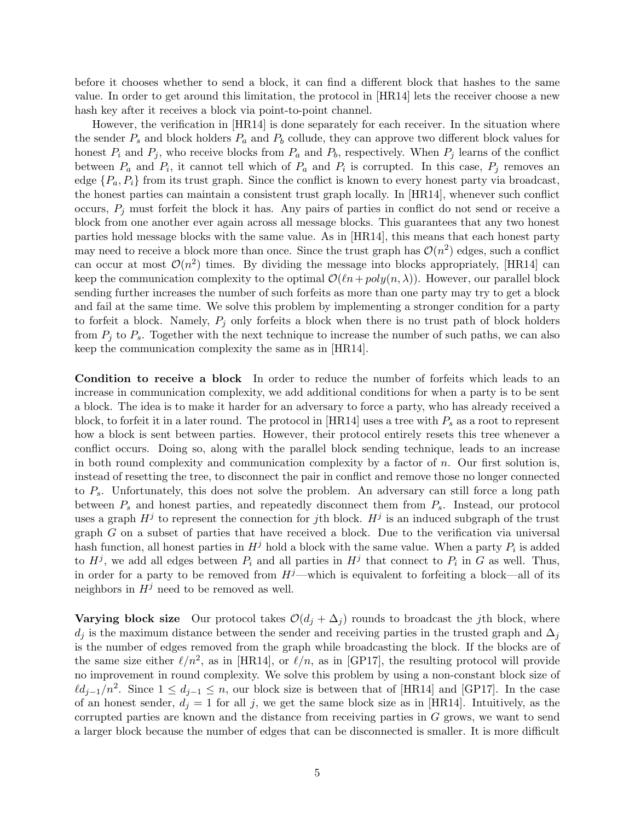before it chooses whether to send a block, it can find a different block that hashes to the same value. In order to get around this limitation, the protocol in [HR14] lets the receiver choose a new hash key after it receives a block via point-to-point channel.

However, the verification in [HR14] is done separately for each receiver. In the situation where the sender  $P_s$  and block holders  $P_a$  and  $P_b$  collude, they can approve two different block values for honest  $P_i$  and  $P_j$ , who receive blocks from  $P_a$  and  $P_b$ , respectively. When  $P_j$  learns of the conflict between  $P_a$  and  $P_i$ , it cannot tell which of  $P_a$  and  $P_i$  is corrupted. In this case,  $P_j$  removes an edge  $\{P_a, P_i\}$  from its trust graph. Since the conflict is known to every honest party via broadcast, the honest parties can maintain a consistent trust graph locally. In [HR14], whenever such conflict occurs,  $P_i$  must forfeit the block it has. Any pairs of parties in conflict do not send or receive a block from one another ever again across all message blocks. This guarantees that any two honest parties hold message blocks with the same value. As in [HR14], this means that each honest party may need to receive a block more than once. Since the trust graph has  $\mathcal{O}(n^2)$  edges, such a conflict can occur at most  $\mathcal{O}(n^2)$  times. By dividing the message into blocks appropriately, [HR14] can keep the communication complexity to the optimal  $\mathcal{O}(\ln + poly(n, \lambda))$ . However, our parallel block sending further increases the number of such forfeits as more than one party may try to get a block and fail at the same time. We solve this problem by implementing a stronger condition for a party to forfeit a block. Namely,  $P_j$  only forfeits a block when there is no trust path of block holders from  $P_i$  to  $P_s$ . Together with the next technique to increase the number of such paths, we can also keep the communication complexity the same as in [HR14].

Condition to receive a block In order to reduce the number of forfeits which leads to an increase in communication complexity, we add additional conditions for when a party is to be sent a block. The idea is to make it harder for an adversary to force a party, who has already received a block, to forfeit it in a later round. The protocol in [HR14] uses a tree with  $P_s$  as a root to represent how a block is sent between parties. However, their protocol entirely resets this tree whenever a conflict occurs. Doing so, along with the parallel block sending technique, leads to an increase in both round complexity and communication complexity by a factor of  $n$ . Our first solution is, instead of resetting the tree, to disconnect the pair in conflict and remove those no longer connected to  $P_s$ . Unfortunately, this does not solve the problem. An adversary can still force a long path between  $P_s$  and honest parties, and repeatedly disconnect them from  $P_s$ . Instead, our protocol uses a graph  $H^j$  to represent the connection for jth block.  $H^j$  is an induced subgraph of the trust graph  $G$  on a subset of parties that have received a block. Due to the verification via universal hash function, all honest parties in  $H^j$  hold a block with the same value. When a party  $P_i$  is added to  $H^j$ , we add all edges between  $P_i$  and all parties in  $H^j$  that connect to  $P_i$  in G as well. Thus, in order for a party to be removed from  $H<sup>j</sup>$ —which is equivalent to forfeiting a block—all of its neighbors in  $H^j$  need to be removed as well.

**Varying block size** Our protocol takes  $\mathcal{O}(d_i + \Delta_i)$  rounds to broadcast the *j*th block, where  $d_j$  is the maximum distance between the sender and receiving parties in the trusted graph and  $\Delta_j$ is the number of edges removed from the graph while broadcasting the block. If the blocks are of the same size either  $\ell/n^2$ , as in [HR14], or  $\ell/n$ , as in [GP17], the resulting protocol will provide no improvement in round complexity. We solve this problem by using a non-constant block size of  $\ell d_{j-1}/n^2$ . Since  $1 \leq d_{j-1} \leq n$ , our block size is between that of [HR14] and [GP17]. In the case of an honest sender,  $d_i = 1$  for all j, we get the same block size as in [HR14]. Intuitively, as the corrupted parties are known and the distance from receiving parties in G grows, we want to send a larger block because the number of edges that can be disconnected is smaller. It is more difficult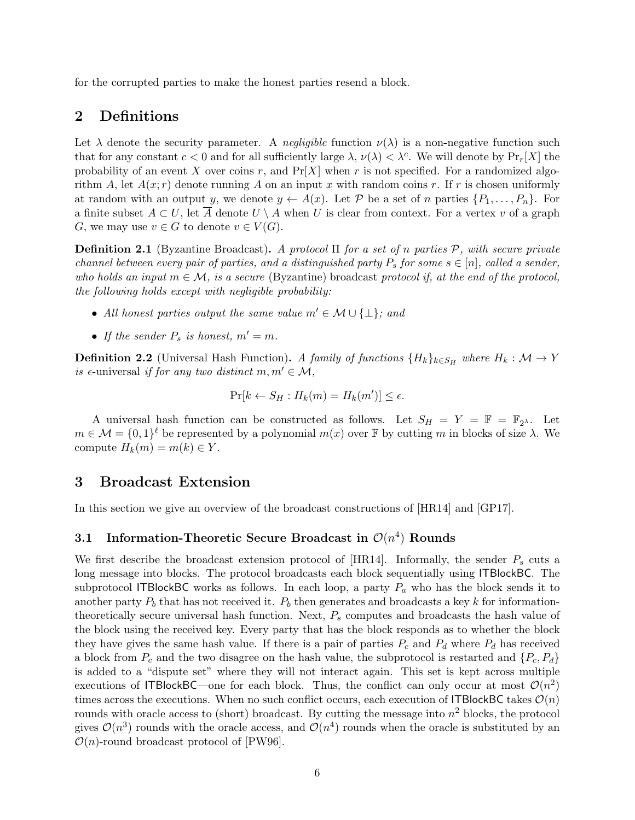for the corrupted parties to make the honest parties resend a block.

## 2 Definitions

Let  $\lambda$  denote the security parameter. A negligible function  $\nu(\lambda)$  is a non-negative function such that for any constant  $c < 0$  and for all sufficiently large  $\lambda$ ,  $\nu(\lambda) < \lambda^c$ . We will denote by  $Pr_r[X]$  the probability of an event X over coins r, and  $Pr[X]$  when r is not specified. For a randomized algorithm A, let  $A(x; r)$  denote running A on an input x with random coins r. If r is chosen uniformly at random with an output y, we denote  $y \leftarrow A(x)$ . Let P be a set of n parties  $\{P_1, \ldots, P_n\}$ . For a finite subset  $A \subset U$ , let  $\overline{A}$  denote  $U \setminus A$  when U is clear from context. For a vertex v of a graph G, we may use  $v \in G$  to denote  $v \in V(G)$ .

**Definition 2.1** (Byzantine Broadcast). A protocol  $\Pi$  for a set of n parties P, with secure private channel between every pair of parties, and a distinguished party  $P_s$  for some  $s \in [n]$ , called a sender, who holds an input  $m \in \mathcal{M}$ , is a secure (Byzantine) broadcast protocol if, at the end of the protocol, the following holds except with negligible probability:

- All honest parties output the same value  $m' \in \mathcal{M} \cup \{\perp\}$ ; and
- If the sender  $P_s$  is honest,  $m' = m$ .

**Definition 2.2** (Universal Hash Function). A family of functions  ${H_k}_{k \in S_H}$  where  $H_k : \mathcal{M} \to Y$ is  $\epsilon$ -universal if for any two distinct  $m, m' \in \mathcal{M}$ ,

$$
\Pr[k \leftarrow S_H : H_k(m) = H_k(m')] \le \epsilon.
$$

A universal hash function can be constructed as follows. Let  $S_H = Y = \mathbb{F} = \mathbb{F}_{2}$ . Let  $m \in \mathcal{M} = \{0,1\}^{\ell}$  be represented by a polynomial  $m(x)$  over  $\mathbb F$  by cutting m in blocks of size  $\lambda$ . We compute  $H_k(m) = m(k) \in Y$ .

## 3 Broadcast Extension

In this section we give an overview of the broadcast constructions of [HR14] and [GP17].

## 3.1 Information-Theoretic Secure Broadcast in  $\mathcal{O}(n^4)$  Rounds

We first describe the broadcast extension protocol of  $[HR14]$ . Informally, the sender  $P<sub>s</sub>$  cuts a long message into blocks. The protocol broadcasts each block sequentially using ITBlockBC. The subprotocol ITBlockBC works as follows. In each loop, a party  $P_a$  who has the block sends it to another party  $P_b$  that has not received it.  $P_b$  then generates and broadcasts a key k for informationtheoretically secure universal hash function. Next,  $P_s$  computes and broadcasts the hash value of the block using the received key. Every party that has the block responds as to whether the block they have gives the same hash value. If there is a pair of parties  $P_c$  and  $P_d$  where  $P_d$  has received a block from  $P_c$  and the two disagree on the hash value, the subprotocol is restarted and  $\{P_c, P_d\}$ is added to a "dispute set" where they will not interact again. This set is kept across multiple executions of ITBlockBC—one for each block. Thus, the conflict can only occur at most  $\mathcal{O}(n^2)$ times across the executions. When no such conflict occurs, each execution of ITBlockBC takes  $\mathcal{O}(n)$ rounds with oracle access to (short) broadcast. By cutting the message into  $n^2$  blocks, the protocol gives  $\mathcal{O}(n^3)$  rounds with the oracle access, and  $\mathcal{O}(n^4)$  rounds when the oracle is substituted by an  $\mathcal{O}(n)$ -round broadcast protocol of [PW96].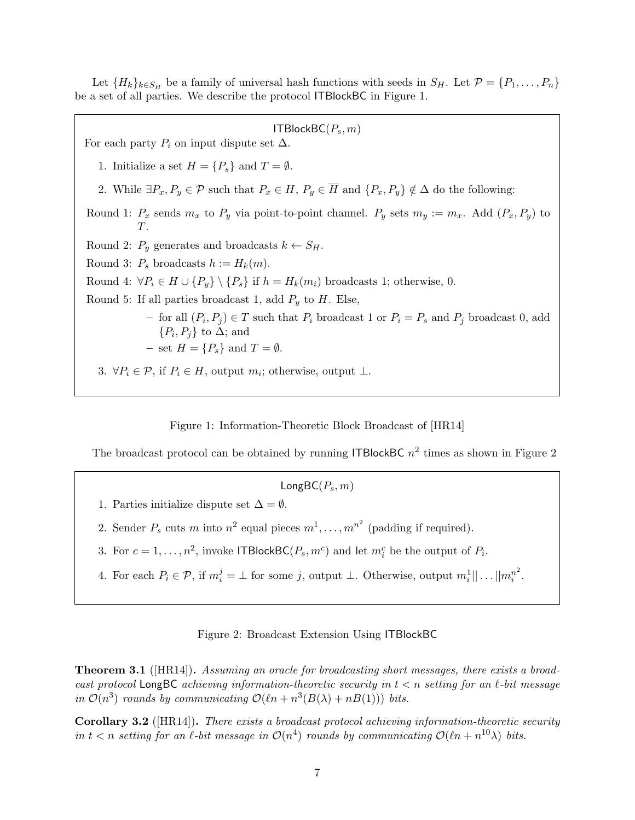Let  ${H_k}_{k \in S_H}$  be a family of universal hash functions with seeds in  $S_H$ . Let  $\mathcal{P} = \{P_1, \ldots, P_n\}$ be a set of all parties. We describe the protocol ITBlockBC in Figure 1.

ITBlockBC $(P_s, m)$ For each party  $P_i$  on input dispute set  $\Delta$ . 1. Initialize a set  $H = \{P_s\}$  and  $T = \emptyset$ . 2. While  $\exists P_x, P_y \in \mathcal{P}$  such that  $P_x \in H$ ,  $P_y \in \overline{H}$  and  $\{P_x, P_y\} \notin \Delta$  do the following: Round 1:  $P_x$  sends  $m_x$  to  $P_y$  via point-to-point channel.  $P_y$  sets  $m_y := m_x$ . Add  $(P_x, P_y)$  to  $T$ . Round 2:  $P_y$  generates and broadcasts  $k \leftarrow S_H$ . Round 3:  $P_s$  broadcasts  $h := H_k(m)$ . Round 4:  $\forall P_i \in H \cup \{P_v\} \setminus \{P_s\}$  if  $h = H_k(m_i)$  broadcasts 1; otherwise, 0. Round 5: If all parties broadcast 1, add  $P_y$  to H. Else, − for all  $(P_i, P_j)$  ∈ T such that  $P_i$  broadcast 1 or  $P_i = P_s$  and  $P_j$  broadcast 0, add  $\{P_i, P_j\}$  to  $\Delta$ ; and – set  $H = \{P_s\}$  and  $T = \emptyset$ . 3.  $\forall P_i \in \mathcal{P}$ , if  $P_i \in H$ , output  $m_i$ ; otherwise, output  $\perp$ .

Figure 1: Information-Theoretic Block Broadcast of [HR14]

The broadcast protocol can be obtained by running ITBlockBC  $n^2$  times as shown in Figure 2

 $LongBC(P_s, m)$ 

- 1. Parties initialize dispute set  $\Delta = \emptyset$ .
- 2. Sender  $P_s$  cuts m into  $n^2$  equal pieces  $m^1, \ldots, m^{n^2}$  (padding if required).
- 3. For  $c = 1, ..., n^2$ , invoke ITBlockBC( $P_s, m^c$ ) and let  $m_i^c$  be the output of  $P_i$ .
- 4. For each  $P_i \in \mathcal{P}$ , if  $m_i^j = \perp$  for some j, output  $\perp$ . Otherwise, output  $m_i^1 || \dots || m_i^{n^2}$  $i^2$ .

Figure 2: Broadcast Extension Using ITBlockBC

**Theorem 3.1** ([HR14]). Assuming an oracle for broadcasting short messages, there exists a broadcast protocol LongBC achieving information-theoretic security in  $t < n$  setting for an  $\ell$ -bit message in  $\mathcal{O}(n^3)$  rounds by communicating  $\mathcal{O}(\ell n + n^3(B(\lambda) + nB(1)))$  bits.

Corollary 3.2 ([HR14]). There exists a broadcast protocol achieving information-theoretic security in  $t < n$  setting for an  $\ell$ -bit message in  $\mathcal{O}(n^4)$  rounds by communicating  $\mathcal{O}(\ell n + n^{10}\lambda)$  bits.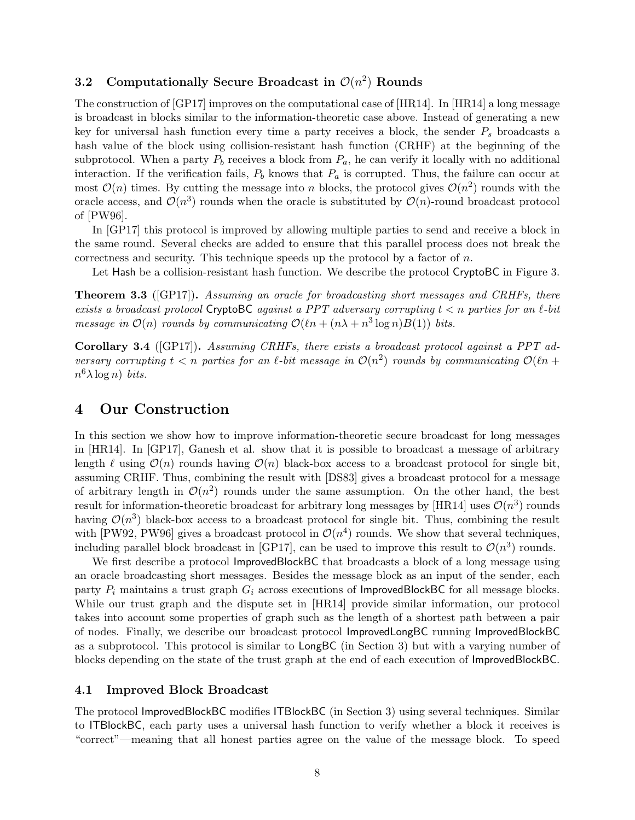## 3.2 Computationally Secure Broadcast in  $\mathcal{O}(n^2)$  Rounds

The construction of [GP17] improves on the computational case of [HR14]. In [HR14] a long message is broadcast in blocks similar to the information-theoretic case above. Instead of generating a new key for universal hash function every time a party receives a block, the sender  $P<sub>s</sub>$  broadcasts a hash value of the block using collision-resistant hash function (CRHF) at the beginning of the subprotocol. When a party  $P_b$  receives a block from  $P_a$ , he can verify it locally with no additional interaction. If the verification fails,  $P_b$  knows that  $P_a$  is corrupted. Thus, the failure can occur at most  $\mathcal{O}(n)$  times. By cutting the message into n blocks, the protocol gives  $\mathcal{O}(n^2)$  rounds with the oracle access, and  $\mathcal{O}(n^3)$  rounds when the oracle is substituted by  $\mathcal{O}(n)$ -round broadcast protocol of [PW96].

In [GP17] this protocol is improved by allowing multiple parties to send and receive a block in the same round. Several checks are added to ensure that this parallel process does not break the correctness and security. This technique speeds up the protocol by a factor of  $n$ .

Let Hash be a collision-resistant hash function. We describe the protocol CryptoBC in Figure 3.

**Theorem 3.3** ([GP17]). Assuming an oracle for broadcasting short messages and CRHFs, there exists a broadcast protocol CryptoBC against a PPT adversary corrupting  $t < n$  parties for an  $\ell$ -bit message in  $\mathcal{O}(n)$  rounds by communicating  $\mathcal{O}(\ell n + (n\lambda + n^3 \log n)B(1))$  bits.

Corollary 3.4 ([GP17]). Assuming CRHFs, there exists a broadcast protocol against a PPT adversary corrupting  $t < n$  parties for an  $\ell$ -bit message in  $\mathcal{O}(n^2)$  rounds by communicating  $\mathcal{O}(\ell n +$  $n^6 \lambda \log n$ ) bits.

## 4 Our Construction

In this section we show how to improve information-theoretic secure broadcast for long messages in [HR14]. In [GP17], Ganesh et al. show that it is possible to broadcast a message of arbitrary length  $\ell$  using  $\mathcal{O}(n)$  rounds having  $\mathcal{O}(n)$  black-box access to a broadcast protocol for single bit, assuming CRHF. Thus, combining the result with [DS83] gives a broadcast protocol for a message of arbitrary length in  $\mathcal{O}(n^2)$  rounds under the same assumption. On the other hand, the best result for information-theoretic broadcast for arbitrary long messages by [HR14] uses  $\mathcal{O}(n^3)$  rounds having  $\mathcal{O}(n^3)$  black-box access to a broadcast protocol for single bit. Thus, combining the result with [PW92, PW96] gives a broadcast protocol in  $\mathcal{O}(n^4)$  rounds. We show that several techniques, including parallel block broadcast in [GP17], can be used to improve this result to  $\mathcal{O}(n^3)$  rounds.

We first describe a protocol ImprovedBlockBC that broadcasts a block of a long message using an oracle broadcasting short messages. Besides the message block as an input of the sender, each party  $P_i$  maintains a trust graph  $G_i$  across executions of ImprovedBlockBC for all message blocks. While our trust graph and the dispute set in [HR14] provide similar information, our protocol takes into account some properties of graph such as the length of a shortest path between a pair of nodes. Finally, we describe our broadcast protocol ImprovedLongBC running ImprovedBlockBC as a subprotocol. This protocol is similar to LongBC (in Section 3) but with a varying number of blocks depending on the state of the trust graph at the end of each execution of ImprovedBlockBC.

#### 4.1 Improved Block Broadcast

The protocol ImprovedBlockBC modifies ITBlockBC (in Section 3) using several techniques. Similar to ITBlockBC, each party uses a universal hash function to verify whether a block it receives is "correct"—meaning that all honest parties agree on the value of the message block. To speed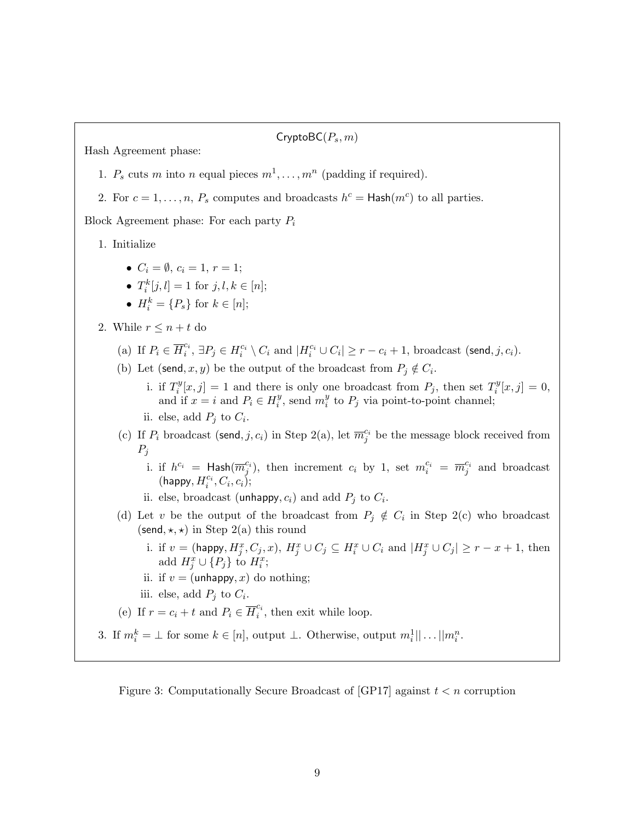$CryptoBC(P_s,m)$ 

Hash Agreement phase:

- 1.  $P_s$  cuts m into n equal pieces  $m^1, \ldots, m^n$  (padding if required).
- 2. For  $c = 1, ..., n$ ,  $P_s$  computes and broadcasts  $h^c = \text{Hash}(m^c)$  to all parties.

Block Agreement phase: For each party  $P_i$ 

1. Initialize

- $C_i = \emptyset$ ,  $c_i = 1$ ,  $r = 1$ ;
- $T_i^k[j, l] = 1$  for  $j, l, k \in [n]$ ;
- $H_i^k = \{P_s\}$  for  $k \in [n];$
- 2. While  $r \leq n + t$  do
	- (a) If  $P_i \in \overline{H}_i^{c_i}$  $\mathcal{C}_i^c$ ,  $\exists P_j \in H_i^{c_i} \setminus C_i$  and  $|H_i^{c_i} \cup C_i| \geq r - c_i + 1$ , broadcast (send, j,  $c_i$ ).
	- (b) Let (send, x, y) be the output of the broadcast from  $P_j \notin C_i$ .
		- i. if  $T_i^y$  $i[i; j] = 1$  and there is only one broadcast from  $P_j$ , then set  $T_i^y$  $j_i^y[x, j] = 0,$ and if  $x = i$  and  $P_i \in H_i^y$  $i<sup>y</sup>$ , send  $m_i<sup>y</sup>$  $i<sup>y</sup>$  to  $P_j$  via point-to-point channel;
		- ii. else, add  $P_j$  to  $C_i$ .
	- (c) If  $P_i$  broadcast (send, j, c<sub>i</sub>) in Step 2(a), let  $\overline{m}_j^{c_i}$  be the message block received from  $P_j$ 
		- i. if  $h^{c_i} = \text{Hash}(\overline{m}_j^{c_i})$ , then increment  $c_i$  by 1, set  $m_i^{c_i} = \overline{m}_j^{c_i}$  and broadcast  $(\mathsf{happy}, H_i^{c_i}, C_i, c_i);$
		- ii. else, broadcast (unhappy,  $c_i$ ) and add  $P_j$  to  $C_i$ .
	- (d) Let v be the output of the broadcast from  $P_j \notin C_i$  in Step 2(c) who broadcast (send,  $\star$ ,  $\star$ ) in Step 2(a) this round
		- i. if  $v = (\text{happy}, H_j^x, C_j, x), H_j^x \cup C_j \subseteq H_i^x \cup C_i$  and  $|H_j^x \cup C_j| \geq r x + 1$ , then add  $H_j^x \cup \{P_j\}$  to  $H_i^x$ ;
		- ii. if  $v = (unhappy, x)$  do nothing;
		- iii. else, add  $P_j$  to  $C_i$ .
	- (e) If  $r = c_i + t$  and  $P_i \in \overline{H}_i^{c_i}$  $\zeta_i^{\mathfrak{c}_i}$ , then exit while loop.
- 3. If  $m_i^k = \perp$  for some  $k \in [n]$ , output  $\perp$ . Otherwise, output  $m_i^1 || \dots || m_i^n$ .

Figure 3: Computationally Secure Broadcast of  $[GP17]$  against  $t < n$  corruption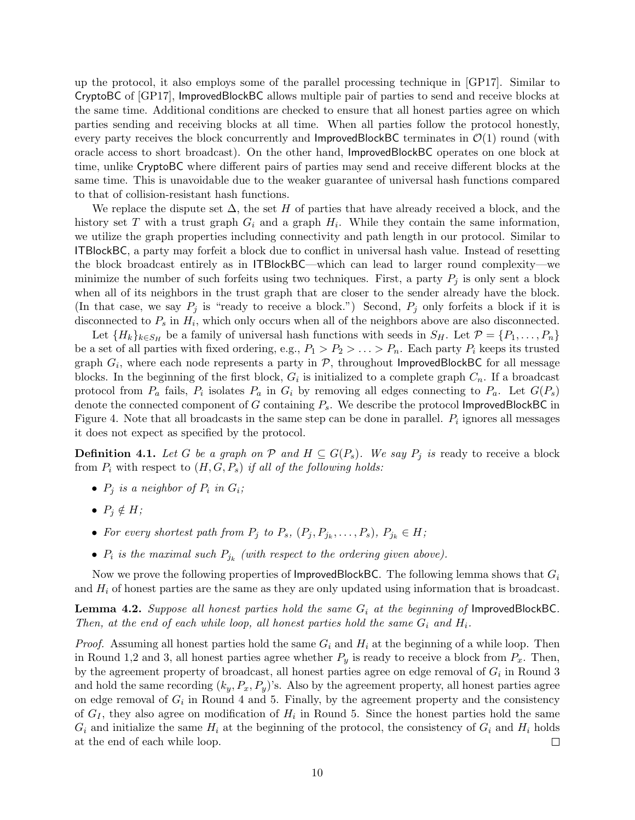up the protocol, it also employs some of the parallel processing technique in [GP17]. Similar to CryptoBC of [GP17], ImprovedBlockBC allows multiple pair of parties to send and receive blocks at the same time. Additional conditions are checked to ensure that all honest parties agree on which parties sending and receiving blocks at all time. When all parties follow the protocol honestly, every party receives the block concurrently and ImprovedBlockBC terminates in  $\mathcal{O}(1)$  round (with oracle access to short broadcast). On the other hand, ImprovedBlockBC operates on one block at time, unlike CryptoBC where different pairs of parties may send and receive different blocks at the same time. This is unavoidable due to the weaker guarantee of universal hash functions compared to that of collision-resistant hash functions.

We replace the dispute set  $\Delta$ , the set H of parties that have already received a block, and the history set T with a trust graph  $G_i$  and a graph  $H_i$ . While they contain the same information, we utilize the graph properties including connectivity and path length in our protocol. Similar to ITBlockBC, a party may forfeit a block due to conflict in universal hash value. Instead of resetting the block broadcast entirely as in ITBlockBC—which can lead to larger round complexity—we minimize the number of such forfeits using two techniques. First, a party  $P_i$  is only sent a block when all of its neighbors in the trust graph that are closer to the sender already have the block. (In that case, we say  $P_j$  is "ready to receive a block.") Second,  $P_j$  only forfeits a block if it is disconnected to  $P_s$  in  $H_i$ , which only occurs when all of the neighbors above are also disconnected.

Let  ${H_k}_{k \in S_H}$  be a family of universal hash functions with seeds in  $S_H$ . Let  $\mathcal{P} = \{P_1, \ldots, P_n\}$ be a set of all parties with fixed ordering, e.g.,  $P_1 > P_2 > \ldots > P_n$ . Each party  $P_i$  keeps its trusted graph  $G_i$ , where each node represents a party in  $P$ , throughout ImprovedBlockBC for all message blocks. In the beginning of the first block,  $G_i$  is initialized to a complete graph  $C_n$ . If a broadcast protocol from  $P_a$  fails,  $P_i$  isolates  $P_a$  in  $G_i$  by removing all edges connecting to  $P_a$ . Let  $G(P_s)$ denote the connected component of  $G$  containing  $P_s$ . We describe the protocol ImprovedBlockBC in Figure 4. Note that all broadcasts in the same step can be done in parallel.  $P_i$  ignores all messages it does not expect as specified by the protocol.

**Definition 4.1.** Let G be a graph on P and  $H \subseteq G(P_s)$ . We say  $P_j$  is ready to receive a block from  $P_i$  with respect to  $(H, G, P_s)$  if all of the following holds:

- $P_j$  is a neighbor of  $P_i$  in  $G_i$ ;
- $P_i \notin H$ ;
- For every shortest path from  $P_j$  to  $P_s$ ,  $(P_j, P_{j_k}, \ldots, P_s)$ ,  $P_{j_k} \in H$ ;
- $P_i$  is the maximal such  $P_{j_k}$  (with respect to the ordering given above).

Now we prove the following properties of ImprovedBlockBC. The following lemma shows that  $G_i$ and  $H_i$  of honest parties are the same as they are only updated using information that is broadcast.

**Lemma 4.2.** Suppose all honest parties hold the same  $G_i$  at the beginning of ImprovedBlockBC. Then, at the end of each while loop, all honest parties hold the same  $G_i$  and  $H_i$ .

*Proof.* Assuming all honest parties hold the same  $G_i$  and  $H_i$  at the beginning of a while loop. Then in Round 1,2 and 3, all honest parties agree whether  $P_y$  is ready to receive a block from  $P_x$ . Then, by the agreement property of broadcast, all honest parties agree on edge removal of  $G_i$  in Round 3 and hold the same recording  $(k_y, P_x, P_y)$ 's. Also by the agreement property, all honest parties agree on edge removal of  $G_i$  in Round 4 and 5. Finally, by the agreement property and the consistency of  $G_I$ , they also agree on modification of  $H_i$  in Round 5. Since the honest parties hold the same  $G_i$  and initialize the same  $H_i$  at the beginning of the protocol, the consistency of  $G_i$  and  $H_i$  holds at the end of each while loop.  $\Box$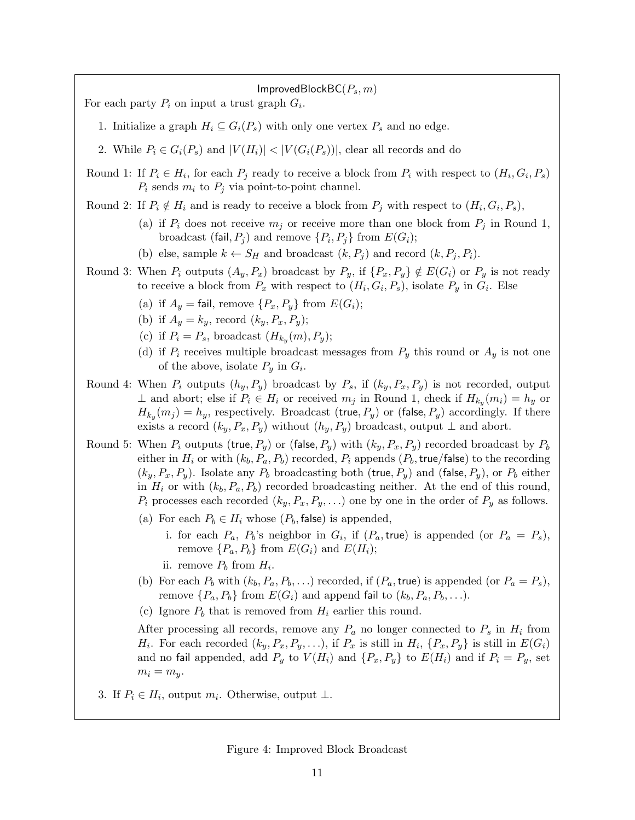ImprovedBlockBC( $P_s$ ,  $m$ ) For each party  $P_i$  on input a trust graph  $G_i$ . 1. Initialize a graph  $H_i \subseteq G_i(P_s)$  with only one vertex  $P_s$  and no edge. 2. While  $P_i \in G_i(P_s)$  and  $|V(H_i)| < |V(G_i(P_s))|$ , clear all records and do Round 1: If  $P_i \in H_i$ , for each  $P_j$  ready to receive a block from  $P_i$  with respect to  $(H_i, G_i, P_s)$  $P_i$  sends  $m_i$  to  $P_j$  via point-to-point channel. Round 2: If  $P_i \notin H_i$  and is ready to receive a block from  $P_j$  with respect to  $(H_i, G_i, P_s)$ , (a) if  $P_i$  does not receive  $m_j$  or receive more than one block from  $P_j$  in Round 1, broadcast (fail,  $P_j$ ) and remove  $\{P_i, P_j\}$  from  $E(G_i)$ ; (b) else, sample  $k \leftarrow S_H$  and broadcast  $(k, P_i)$  and record  $(k, P_i, P_i)$ . Round 3: When  $P_i$  outputs  $(A_y, P_x)$  broadcast by  $P_y$ , if  $\{P_x, P_y\} \notin E(G_i)$  or  $P_y$  is not ready to receive a block from  $P_x$  with respect to  $(H_i, G_i, P_s)$ , isolate  $P_y$  in  $G_i$ . Else (a) if  $A_y = \text{fail}$ , remove  $\{P_x, P_y\}$  from  $E(G_i)$ ; (b) if  $A_y = k_y$ , record  $(k_y, P_x, P_y)$ ; (c) if  $P_i = P_s$ , broadcast  $(H_{k_y}(m), P_y);$ (d) if  $P_i$  receives multiple broadcast messages from  $P_y$  this round or  $A_y$  is not one of the above, isolate  $P_y$  in  $G_i$ . Round 4: When  $P_i$  outputs  $(h_y, P_y)$  broadcast by  $P_s$ , if  $(k_y, P_x, P_y)$  is not recorded, output  $\perp$  and abort; else if  $P_i \in H_i$  or received  $m_j$  in Round 1, check if  $H_{k_y}(m_i) = h_y$  or  $H_{k_y}(m_j) = h_y$ , respectively. Broadcast (true,  $P_y$ ) or (false,  $P_y$ ) accordingly. If there exists a record  $(k_y, P_x, P_y)$  without  $(h_y, P_y)$  broadcast, output  $\perp$  and abort. Round 5: When  $P_i$  outputs (true,  $P_y$ ) or (false,  $P_y$ ) with  $(k_y, P_x, P_y)$  recorded broadcast by  $P_b$ either in  $H_i$  or with  $(k_b, P_a, P_b)$  recorded,  $P_i$  appends  $(P_b, true/\text{false})$  to the recording  $(k_y, P_x, P_y)$ . Isolate any  $P_b$  broadcasting both (true,  $P_y$ ) and (false,  $P_y$ ), or  $P_b$  either in  $H_i$  or with  $(k_b, P_a, P_b)$  recorded broadcasting neither. At the end of this round,  $P_i$  processes each recorded  $(k_y, P_x, P_y, \ldots)$  one by one in the order of  $P_y$  as follows. (a) For each  $P_b \in H_i$  whose  $(P_b, \text{false})$  is appended, i. for each  $P_a$ ,  $P_b$ 's neighbor in  $G_i$ , if  $(P_a, true)$  is appended (or  $P_a = P_s$ ), remove  $\{P_a, P_b\}$  from  $E(G_i)$  and  $E(H_i)$ ; ii. remove  $P_b$  from  $H_i$ . (b) For each  $P_b$  with  $(k_b, P_a, P_b, ...)$  recorded, if  $(P_a, true)$  is appended (or  $P_a = P_s$ ), remove  $\{P_a, P_b\}$  from  $E(G_i)$  and append fail to  $(k_b, P_a, P_b, \ldots)$ . (c) Ignore  $P_b$  that is removed from  $H_i$  earlier this round. After processing all records, remove any  $P_a$  no longer connected to  $P_s$  in  $H_i$  from  $H_i$ . For each recorded  $(k_y, P_x, P_y, \ldots)$ , if  $P_x$  is still in  $H_i$ ,  $\{P_x, P_y\}$  is still in  $E(G_i)$ and no fail appended, add  $P_y$  to  $V(H_i)$  and  $\{P_x, P_y\}$  to  $E(H_i)$  and if  $P_i = P_y$ , set  $m_i = m_{\nu}$ . 3. If  $P_i \in H_i$ , output  $m_i$ . Otherwise, output  $\perp$ .

Figure 4: Improved Block Broadcast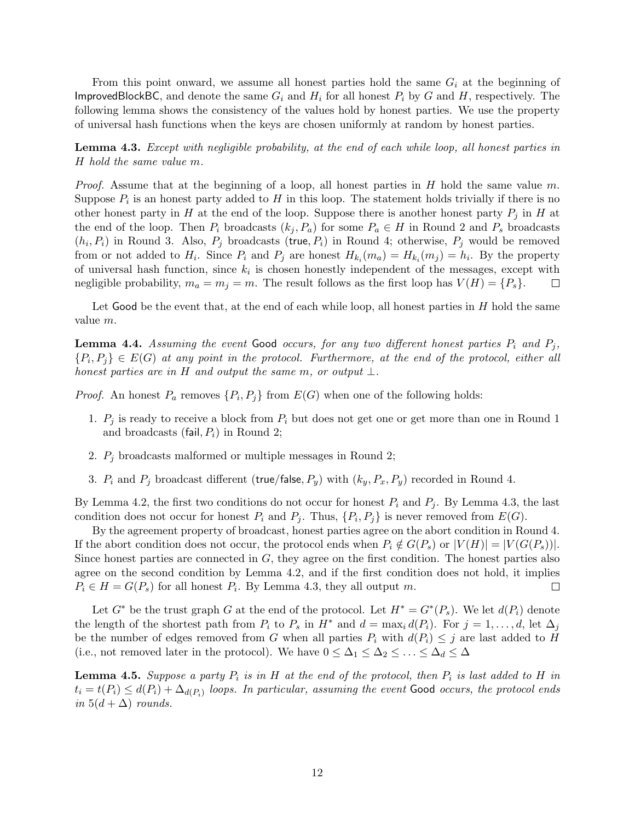From this point onward, we assume all honest parties hold the same  $G_i$  at the beginning of ImprovedBlockBC, and denote the same  $G_i$  and  $H_i$  for all honest  $P_i$  by G and H, respectively. The following lemma shows the consistency of the values hold by honest parties. We use the property of universal hash functions when the keys are chosen uniformly at random by honest parties.

Lemma 4.3. Except with negligible probability, at the end of each while loop, all honest parties in H hold the same value m.

*Proof.* Assume that at the beginning of a loop, all honest parties in  $H$  hold the same value  $m$ . Suppose  $P_i$  is an honest party added to H in this loop. The statement holds trivially if there is no other honest party in H at the end of the loop. Suppose there is another honest party  $P_i$  in H at the end of the loop. Then  $P_i$  broadcasts  $(k_i, P_a)$  for some  $P_a \in H$  in Round 2 and  $P_s$  broadcasts  $(h_i, P_i)$  in Round 3. Also,  $P_j$  broadcasts (true,  $P_i$ ) in Round 4; otherwise,  $P_j$  would be removed from or not added to  $H_i$ . Since  $P_i$  and  $P_j$  are honest  $H_{k_i}(m_a) = H_{k_i}(m_j) = h_i$ . By the property of universal hash function, since  $k_i$  is chosen honestly independent of the messages, except with negligible probability,  $m_a = m_j = m$ . The result follows as the first loop has  $V(H) = \{P_s\}.$  $\Box$ 

Let Good be the event that, at the end of each while loop, all honest parties in  $H$  hold the same value m.

**Lemma 4.4.** Assuming the event Good occurs, for any two different honest parties  $P_i$  and  $P_j$ ,  ${P_i, P_j} \in E(G)$  at any point in the protocol. Furthermore, at the end of the protocol, either all honest parties are in H and output the same m, or output  $\bot$ .

*Proof.* An honest  $P_a$  removes  $\{P_i, P_j\}$  from  $E(G)$  when one of the following holds:

- 1.  $P_j$  is ready to receive a block from  $P_i$  but does not get one or get more than one in Round 1 and broadcasts (fail,  $P_i$ ) in Round 2;
- 2.  $P_j$  broadcasts malformed or multiple messages in Round 2;
- 3.  $P_i$  and  $P_j$  broadcast different (true/false,  $P_y$ ) with  $(k_y, P_x, P_y)$  recorded in Round 4.

By Lemma 4.2, the first two conditions do not occur for honest  $P_i$  and  $P_j$ . By Lemma 4.3, the last condition does not occur for honest  $P_i$  and  $P_j$ . Thus,  $\{P_i, P_j\}$  is never removed from  $E(G)$ .

By the agreement property of broadcast, honest parties agree on the abort condition in Round 4. If the abort condition does not occur, the protocol ends when  $P_i \notin G(P_s)$  or  $|V(H)| = |V(G(P_s))|$ . Since honest parties are connected in  $G$ , they agree on the first condition. The honest parties also agree on the second condition by Lemma 4.2, and if the first condition does not hold, it implies  $P_i \in H = G(P_s)$  for all honest  $P_i$ . By Lemma 4.3, they all output m.  $\Box$ 

Let  $G^*$  be the trust graph G at the end of the protocol. Let  $H^* = G^*(P_s)$ . We let  $d(P_i)$  denote the length of the shortest path from  $P_i$  to  $P_s$  in  $H^*$  and  $d = \max_i d(P_i)$ . For  $j = 1, \ldots, d$ , let  $\Delta_j$ be the number of edges removed from G when all parties  $P_i$  with  $d(P_i) \leq j$  are last added to H (i.e., not removed later in the protocol). We have  $0 \leq \Delta_1 \leq \Delta_2 \leq \ldots \leq \Delta_d \leq \Delta$ 

**Lemma 4.5.** Suppose a party  $P_i$  is in H at the end of the protocol, then  $P_i$  is last added to H in  $t_i = t(P_i) \leq d(P_i) + \Delta_{d(P_i)}$  loops. In particular, assuming the event Good occurs, the protocol ends in  $5(d + \Delta)$  rounds.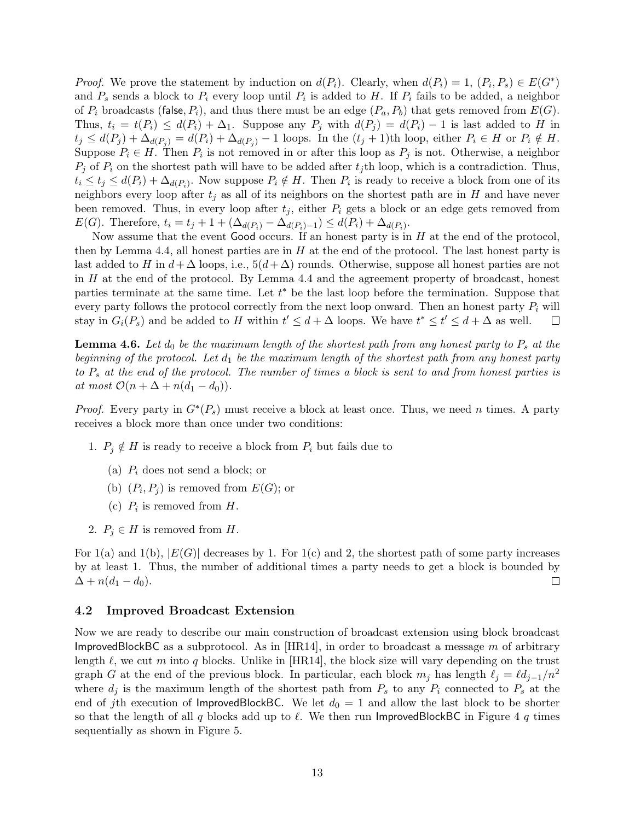*Proof.* We prove the statement by induction on  $d(P_i)$ . Clearly, when  $d(P_i) = 1$ ,  $(P_i, P_s) \in E(G^*)$ and  $P_s$  sends a block to  $P_i$  every loop until  $P_i$  is added to H. If  $P_i$  fails to be added, a neighbor of  $P_i$  broadcasts (false,  $P_i$ ), and thus there must be an edge  $(P_a, P_b)$  that gets removed from  $E(G)$ . Thus,  $t_i = t(P_i) \leq d(P_i) + \Delta_1$ . Suppose any  $P_j$  with  $d(P_j) = d(P_i) - 1$  is last added to H in  $t_j \leq d(P_j) + \Delta_{d(P_i)} = d(P_i) + \Delta_{d(P_i)} - 1$  loops. In the  $(t_j + 1)$ th loop, either  $P_i \in H$  or  $P_i \notin H$ . Suppose  $P_i \in H$ . Then  $P_i$  is not removed in or after this loop as  $P_j$  is not. Otherwise, a neighbor  $P_i$  of  $P_i$  on the shortest path will have to be added after  $t_i$ th loop, which is a contradiction. Thus,  $t_i \le t_j \le d(P_i) + \Delta_{d(P_i)}$ . Now suppose  $P_i \notin H$ . Then  $P_i$  is ready to receive a block from one of its neighbors every loop after  $t_i$  as all of its neighbors on the shortest path are in H and have never been removed. Thus, in every loop after  $t_i$ , either  $P_i$  gets a block or an edge gets removed from  $E(G)$ . Therefore,  $t_i = t_j + 1 + (\Delta_{d(P_i)} - \Delta_{d(P_i)-1}) \leq d(P_i) + \Delta_{d(P_i)}$ .

Now assume that the event Good occurs. If an honest party is in  $H$  at the end of the protocol, then by Lemma 4.4, all honest parties are in  $H$  at the end of the protocol. The last honest party is last added to H in  $d + \Delta$  loops, i.e.,  $5(d + \Delta)$  rounds. Otherwise, suppose all honest parties are not in H at the end of the protocol. By Lemma 4.4 and the agreement property of broadcast, honest parties terminate at the same time. Let  $t^*$  be the last loop before the termination. Suppose that every party follows the protocol correctly from the next loop onward. Then an honest party  $P_i$  will stay in  $G_i(P_s)$  and be added to H within  $t' \leq d + \Delta$  loops. We have  $t^* \leq t' \leq d + \Delta$  as well.  $\Box$ 

**Lemma 4.6.** Let  $d_0$  be the maximum length of the shortest path from any honest party to  $P_s$  at the beginning of the protocol. Let  $d_1$  be the maximum length of the shortest path from any honest party to  $P_s$  at the end of the protocol. The number of times a block is sent to and from honest parties is at most  $\mathcal{O}(n + \Delta + n(d_1 - d_0)).$ 

*Proof.* Every party in  $G^*(P_s)$  must receive a block at least once. Thus, we need n times. A party receives a block more than once under two conditions:

- 1.  $P_i \notin H$  is ready to receive a block from  $P_i$  but fails due to
	- (a)  $P_i$  does not send a block; or
	- (b)  $(P_i, P_j)$  is removed from  $E(G)$ ; or
	- (c)  $P_i$  is removed from  $H$ .
- 2.  $P_i \in H$  is removed from H.

For  $1(a)$  and  $1(b)$ ,  $|E(G)|$  decreases by 1. For  $1(c)$  and 2, the shortest path of some party increases by at least 1. Thus, the number of additional times a party needs to get a block is bounded by  $\Delta + n(d_1 - d_0).$  $\Box$ 

#### 4.2 Improved Broadcast Extension

Now we are ready to describe our main construction of broadcast extension using block broadcast ImprovedBlockBC as a subprotocol. As in  $[HR14]$ , in order to broadcast a message m of arbitrary length  $\ell$ , we cut m into q blocks. Unlike in [HR14], the block size will vary depending on the trust graph G at the end of the previous block. In particular, each block  $m_j$  has length  $\ell_j = \ell d_{j-1}/n^2$ where  $d_j$  is the maximum length of the shortest path from  $P_s$  to any  $P_i$  connected to  $P_s$  at the end of jth execution of ImprovedBlockBC. We let  $d_0 = 1$  and allow the last block to be shorter so that the length of all q blocks add up to  $\ell$ . We then run ImprovedBlockBC in Figure 4 q times sequentially as shown in Figure 5.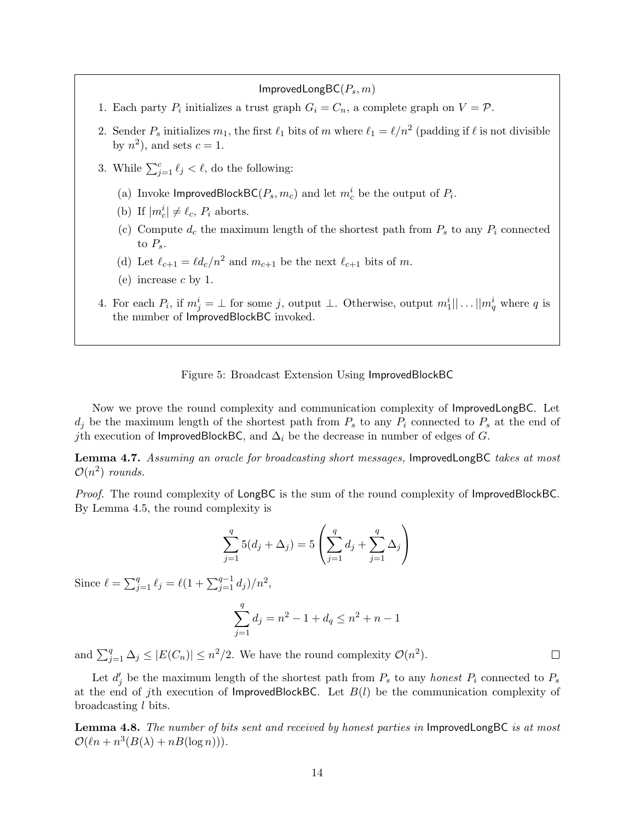$ImprovedLongBC(P<sub>s</sub>, m)$ 

- 1. Each party  $P_i$  initializes a trust graph  $G_i = C_n$ , a complete graph on  $V = \mathcal{P}$ .
- 2. Sender  $P_s$  initializes  $m_1$ , the first  $\ell_1$  bits of m where  $\ell_1 = \ell/n^2$  (padding if  $\ell$  is not divisible by  $n^2$ , and sets  $c = 1$ .
- 3. While  $\sum_{j=1}^c \ell_j < \ell$ , do the following:
	- (a) Invoke ImprovedBlockBC( $P_s, m_c$ ) and let  $m_c^i$  be the output of  $P_i$ .
	- (b) If  $|m_c^i| \neq \ell_c$ ,  $P_i$  aborts.
	- (c) Compute  $d_c$  the maximum length of the shortest path from  $P_s$  to any  $P_i$  connected to  $P_s$ .
	- (d) Let  $\ell_{c+1} = \ell d_c/n^2$  and  $m_{c+1}$  be the next  $\ell_{c+1}$  bits of m.
	- (e) increase  $c$  by 1.
- 4. For each  $P_i$ , if  $m_j^i = \perp$  for some j, output  $\perp$ . Otherwise, output  $m_1^i || \dots || m_q^i$  where q is the number of ImprovedBlockBC invoked.

#### Figure 5: Broadcast Extension Using ImprovedBlockBC

Now we prove the round complexity and communication complexity of ImprovedLongBC. Let  $d_i$  be the maximum length of the shortest path from  $P_s$  to any  $P_i$  connected to  $P_s$  at the end of jth execution of ImprovedBlockBC, and  $\Delta_i$  be the decrease in number of edges of G.

Lemma 4.7. Assuming an oracle for broadcasting short messages, ImprovedLongBC takes at most  $\mathcal{O}(n^2)$  rounds.

Proof. The round complexity of LongBC is the sum of the round complexity of ImprovedBlockBC. By Lemma 4.5, the round complexity is

$$
\sum_{j=1}^{q} 5(d_j + \Delta_j) = 5\left(\sum_{j=1}^{q} d_j + \sum_{j=1}^{q} \Delta_j\right)
$$

Since  $\ell = \sum_{j=1}^q \ell_j = \ell(1 + \sum_{j=1}^{q-1} d_j)/n^2$ ,

$$
\sum_{j=1}^{q} d_j = n^2 - 1 + d_q \le n^2 + n - 1
$$

 $\Box$ 

and  $\sum_{j=1}^{q} \Delta_j \leq |E(C_n)| \leq n^2/2$ . We have the round complexity  $\mathcal{O}(n^2)$ .

Let  $d'_j$  be the maximum length of the shortest path from  $P_s$  to any honest  $P_i$  connected to  $P_s$ at the end of jth execution of ImprovedBlockBC. Let  $B(l)$  be the communication complexity of broadcasting l bits.

Lemma 4.8. The number of bits sent and received by honest parties in ImprovedLongBC is at most  $\mathcal{O}(\ell n + n^3(B(\lambda) + nB(\log n))).$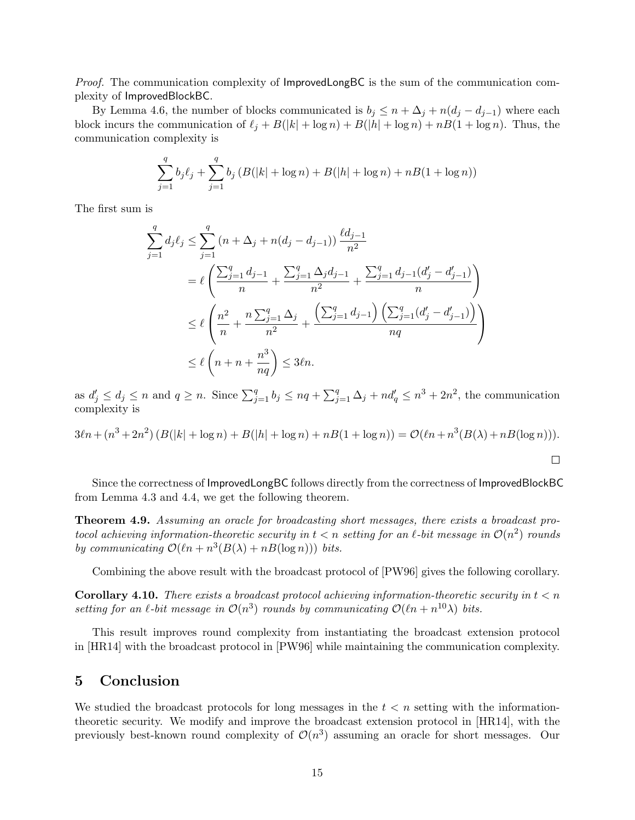Proof. The communication complexity of ImprovedLongBC is the sum of the communication complexity of ImprovedBlockBC.

By Lemma 4.6, the number of blocks communicated is  $b_j \leq n + \Delta_j + n(d_j - d_{j-1})$  where each block incurs the communication of  $\ell_j + B(|k| + \log n) + B(|h| + \log n) + nB(1 + \log n)$ . Thus, the communication complexity is

$$
\sum_{j=1}^{q} b_j \ell_j + \sum_{j=1}^{q} b_j \left( B(|k| + \log n) + B(|h| + \log n) + nB(1 + \log n) \right)
$$

The first sum is

$$
\sum_{j=1}^{q} d_j \ell_j \le \sum_{j=1}^{q} (n + \Delta_j + n(d_j - d_{j-1})) \frac{\ell d_{j-1}}{n^2}
$$
  
=  $\ell \left( \frac{\sum_{j=1}^{q} d_{j-1}}{n} + \frac{\sum_{j=1}^{q} \Delta_j d_{j-1}}{n^2} + \frac{\sum_{j=1}^{q} d_{j-1} (d'_j - d'_{j-1})}{n} \right)$   
 $\le \ell \left( \frac{n^2}{n} + \frac{n \sum_{j=1}^{q} \Delta_j}{n^2} + \frac{\left( \sum_{j=1}^{q} d_{j-1} \right) \left( \sum_{j=1}^{q} (d'_j - d'_{j-1}) \right)}{nq} \right)$   
 $\le \ell \left( n + n + \frac{n^3}{nq} \right) \le 3\ell n.$ 

as  $d'_j \leq d_j \leq n$  and  $q \geq n$ . Since  $\sum_{j=1}^q b_j \leq nq + \sum_{j=1}^q \Delta_j + nd'_q \leq n^3 + 2n^2$ , the communication complexity is

$$
3\ell n + (n^3 + 2n^2) (B(|k| + \log n) + B(|h| + \log n) + nB(1 + \log n)) = O(\ell n + n^3(B(\lambda) + nB(\log n))).
$$

Since the correctness of ImprovedLongBC follows directly from the correctness of ImprovedBlockBC from Lemma 4.3 and 4.4, we get the following theorem.

Theorem 4.9. Assuming an oracle for broadcasting short messages, there exists a broadcast protocol achieving information-theoretic security in  $t < n$  setting for an  $\ell$ -bit message in  $\mathcal{O}(n^2)$  rounds by communicating  $\mathcal{O}(\ln + n^3(B(\lambda) + nB(\log n)))$  bits.

Combining the above result with the broadcast protocol of [PW96] gives the following corollary.

**Corollary 4.10.** There exists a broadcast protocol achieving information-theoretic security in  $t < n$ setting for an  $\ell$ -bit message in  $\mathcal{O}(n^3)$  rounds by communicating  $\mathcal{O}(\ell n + n^{10}\lambda)$  bits.

This result improves round complexity from instantiating the broadcast extension protocol in [HR14] with the broadcast protocol in [PW96] while maintaining the communication complexity.

### 5 Conclusion

We studied the broadcast protocols for long messages in the  $t < n$  setting with the informationtheoretic security. We modify and improve the broadcast extension protocol in [HR14], with the previously best-known round complexity of  $\mathcal{O}(n^3)$  assuming an oracle for short messages. Our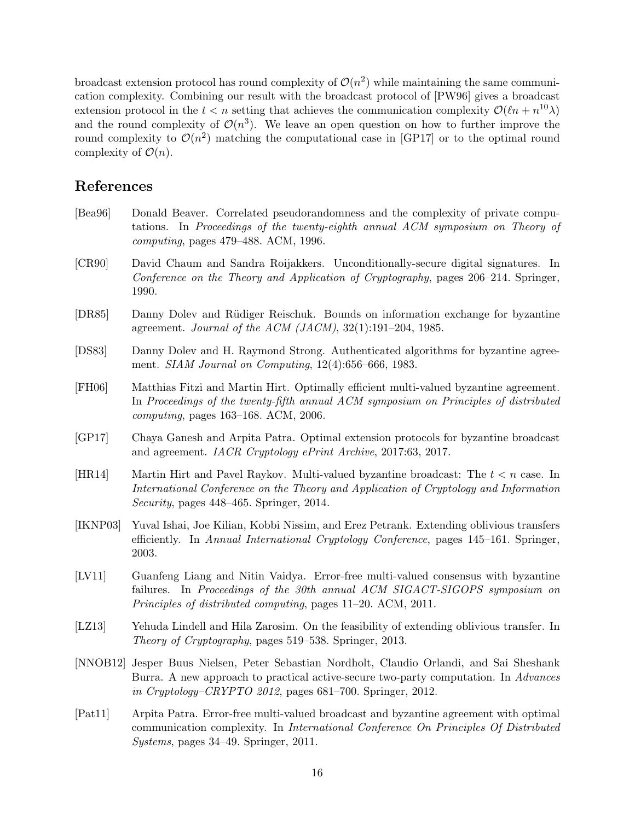broadcast extension protocol has round complexity of  $\mathcal{O}(n^2)$  while maintaining the same communication complexity. Combining our result with the broadcast protocol of [PW96] gives a broadcast extension protocol in the  $t < n$  setting that achieves the communication complexity  $\mathcal{O}(\ell n + n^{10}\lambda)$ and the round complexity of  $\mathcal{O}(n^3)$ . We leave an open question on how to further improve the round complexity to  $\mathcal{O}(n^2)$  matching the computational case in [GP17] or to the optimal round complexity of  $\mathcal{O}(n)$ .

# References

- [Bea96] Donald Beaver. Correlated pseudorandomness and the complexity of private computations. In Proceedings of the twenty-eighth annual ACM symposium on Theory of computing, pages 479–488. ACM, 1996.
- [CR90] David Chaum and Sandra Roijakkers. Unconditionally-secure digital signatures. In Conference on the Theory and Application of Cryptography, pages 206–214. Springer, 1990.
- [DR85] Danny Dolev and R¨udiger Reischuk. Bounds on information exchange for byzantine agreement. Journal of the ACM (JACM), 32(1):191–204, 1985.
- [DS83] Danny Dolev and H. Raymond Strong. Authenticated algorithms for byzantine agreement. SIAM Journal on Computing, 12(4):656–666, 1983.
- [FH06] Matthias Fitzi and Martin Hirt. Optimally efficient multi-valued byzantine agreement. In Proceedings of the twenty-fifth annual ACM symposium on Principles of distributed computing, pages 163–168. ACM, 2006.
- [GP17] Chaya Ganesh and Arpita Patra. Optimal extension protocols for byzantine broadcast and agreement. IACR Cryptology ePrint Archive, 2017:63, 2017.
- [HR14] Martin Hirt and Pavel Raykov. Multi-valued byzantine broadcast: The  $t < n$  case. In International Conference on the Theory and Application of Cryptology and Information Security, pages 448–465. Springer, 2014.
- [IKNP03] Yuval Ishai, Joe Kilian, Kobbi Nissim, and Erez Petrank. Extending oblivious transfers efficiently. In Annual International Cryptology Conference, pages 145–161. Springer, 2003.
- [LV11] Guanfeng Liang and Nitin Vaidya. Error-free multi-valued consensus with byzantine failures. In Proceedings of the 30th annual ACM SIGACT-SIGOPS symposium on Principles of distributed computing, pages 11–20. ACM, 2011.
- [LZ13] Yehuda Lindell and Hila Zarosim. On the feasibility of extending oblivious transfer. In Theory of Cryptography, pages 519–538. Springer, 2013.
- [NNOB12] Jesper Buus Nielsen, Peter Sebastian Nordholt, Claudio Orlandi, and Sai Sheshank Burra. A new approach to practical active-secure two-party computation. In Advances in Cryptology–CRYPTO 2012, pages 681–700. Springer, 2012.
- [Pat11] Arpita Patra. Error-free multi-valued broadcast and byzantine agreement with optimal communication complexity. In International Conference On Principles Of Distributed Systems, pages 34–49. Springer, 2011.